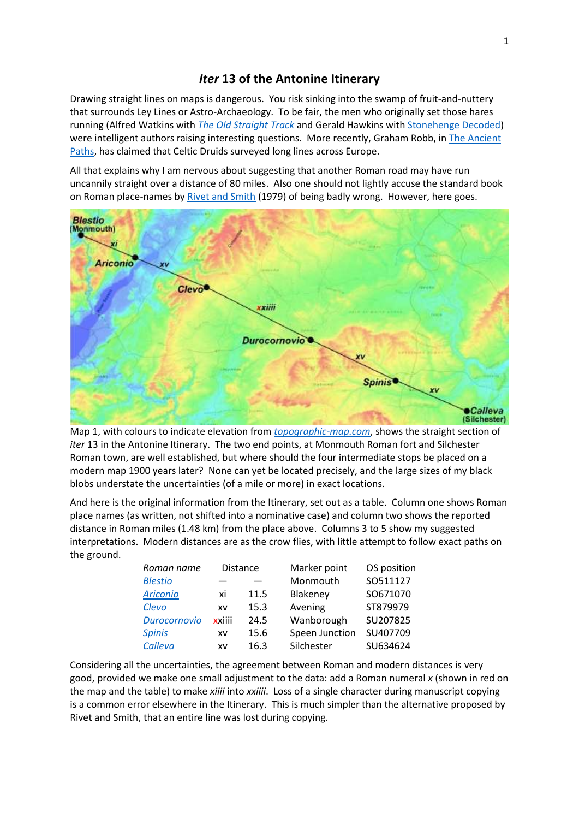## *Iter* **13 of the Antonine Itinerary**

Drawing straight lines on maps is dangerous. You risk sinking into the swamp of fruit-and-nuttery that surrounds Ley Lines or Astro-Archaeology. To be fair, the men who originally set those hares running (Alfred Watkins with *[The Old Straight Track](https://en.wikipedia.org/wiki/The_Old_Straight_Track)* and Gerald Hawkins with [Stonehenge Decoded\)](https://www.worldofbooks.com/en-gb/books/gerald-s-hawkins/stonehenge-decoded/9780006323150?gclid=EAIaIQobChMIxpSM4obA8wIVEywYCh0jTgk2EAQYASABEgJpQfD_BwE) were intelligent authors raising interesting questions. More recently, Graham Robb, in [The Ancient](https://books.google.co.uk/books/about/The_Ancient_Paths.html?id=srZzngEACAAJ&redir_esc=y)  [Paths,](https://books.google.co.uk/books/about/The_Ancient_Paths.html?id=srZzngEACAAJ&redir_esc=y) has claimed that Celtic Druids surveyed long lines across Europe.

All that explains why I am nervous about suggesting that another Roman road may have run uncannily straight over a distance of 80 miles. Also one should not lightly accuse the standard book on Roman place-names b[y Rivet and Smith](https://www.ebay.co.uk/itm/143563359426?chn=ps&mkevt=1&mkcid=28) (1979) of being badly wrong. However, here goes.



Map 1, with colours to indicate elevation from *[topographic-map.com](https://en-gb.topographic-map.com/)*, shows the straight section of *iter* 13 in the Antonine Itinerary. The two end points, at Monmouth Roman fort and Silchester Roman town, are well established, but where should the four intermediate stops be placed on a modern map 1900 years later? None can yet be located precisely, and the large sizes of my black blobs understate the uncertainties (of a mile or more) in exact locations.

And here is the original information from the Itinerary, set out as a table. Column one shows Roman place names (as written, not shifted into a nominative case) and column two shows the reported distance in Roman miles (1.48 km) from the place above. Columns 3 to 5 show my suggested interpretations. Modern distances are as the crow flies, with little attempt to follow exact paths on the ground.

| Roman name      | <b>Distance</b> |      | Marker point   | OS position |
|-----------------|-----------------|------|----------------|-------------|
| <b>Blestio</b>  |                 |      | Monmouth       | SO511127    |
| <b>Ariconio</b> | хi              | 11.5 | Blakeney       | SO671070    |
| Clevo           | XV              | 15.3 | Avening        | ST879979    |
| Durocornovio    | xxiiii          | 24.5 | Wanborough     | SU207825    |
| <b>Spinis</b>   | XV              | 15.6 | Speen Junction | SU407709    |
| Calleva         | XV              | 16.3 | Silchester     | SU634624    |

Considering all the uncertainties, the agreement between Roman and modern distances is very good, provided we make one small adjustment to the data: add a Roman numeral *x* (shown in red on the map and the table) to make *xiiii* into *xxiiii*. Loss of a single character during manuscript copying is a common error elsewhere in the Itinerary. This is much simpler than the alternative proposed by Rivet and Smith, that an entire line was lost during copying.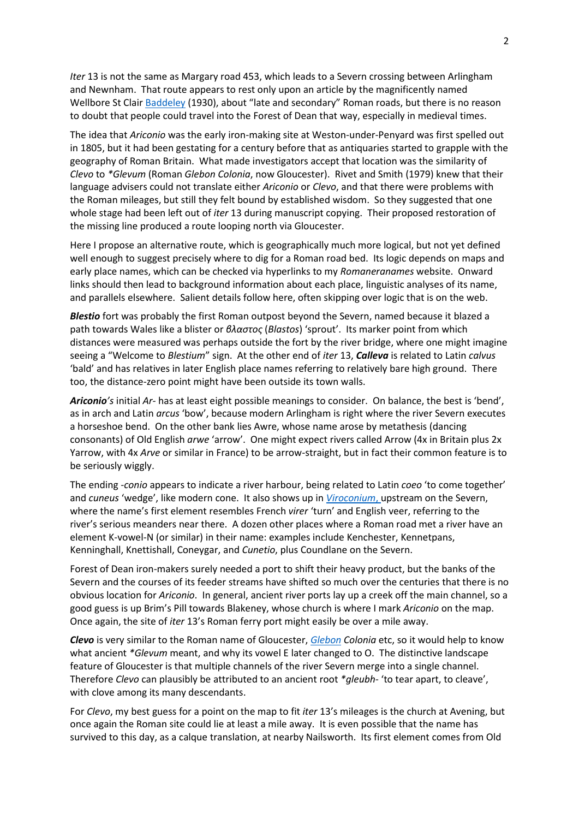*Iter* 13 is not the same as Margary road 453, which leads to a Severn crossing between Arlingham and Newnham. That route appears to rest only upon an article by the magnificently named Wellbore St Clai[r Baddeley](https://www2.glos.ac.uk/bgas/tbgas/v052/bg052151.pdf) (1930), about "late and secondary" Roman roads, but there is no reason to doubt that people could travel into the Forest of Dean that way, especially in medieval times.

The idea that *Ariconio* was the early iron-making site at Weston-under-Penyard was first spelled out in 1805, but it had been gestating for a century before that as antiquaries started to grapple with the geography of Roman Britain. What made investigators accept that location was the similarity of *Clevo* to *\*Glevum* (Roman *Glebon Colonia*, now Gloucester). Rivet and Smith (1979) knew that their language advisers could not translate either *Ariconio* or *Clevo*, and that there were problems with the Roman mileages, but still they felt bound by established wisdom. So they suggested that one whole stage had been left out of *iter* 13 during manuscript copying. Their proposed restoration of the missing line produced a route looping north via Gloucester.

Here I propose an alternative route, which is geographically much more logical, but not yet defined well enough to suggest precisely where to dig for a Roman road bed. Its logic depends on maps and early place names, which can be checked via hyperlinks to my *Romaneranames* website. Onward links should then lead to background information about each place, linguistic analyses of its name, and parallels elsewhere. Salient details follow here, often skipping over logic that is on the web.

*Blestio* fort was probably the first Roman outpost beyond the Severn, named because it blazed a path towards Wales like a blister or *βλαστος* (*Blastos*) 'sprout'. Its marker point from which distances were measured was perhaps outside the fort by the river bridge, where one might imagine seeing a "Welcome to *Blestium*" sign. At the other end of *iter* 13, *Calleva* is related to Latin *calvus* 'bald' and has relatives in later English place names referring to relatively bare high ground. There too, the distance-zero point might have been outside its town walls.

*Ariconio's* initial *Ar-* has at least eight possible meanings to consider. On balance, the best is 'bend', as in arch and Latin *arcus* 'bow', because modern Arlingham is right where the river Severn executes a horseshoe bend. On the other bank lies Awre, whose name arose by metathesis (dancing consonants) of Old English *arwe* 'arrow'. One might expect rivers called Arrow (4x in Britain plus 2x Yarrow, with 4x *Arve* or similar in France) to be arrow-straight, but in fact their common feature is to be seriously wiggly.

The ending *-conio* appears to indicate a river harbour, being related to Latin *coeo* 'to come together' and *cuneus* 'wedge', like modern cone. It also shows up in *[Viroconium](http://www.romaneranames.uk/v/viroconi.htm)*, upstream on the Severn, where the name's first element resembles French *virer* 'turn' and English veer, referring to the river's serious meanders near there. A dozen other places where a Roman road met a river have an element K-vowel-N (or similar) in their name: examples include Kenchester, Kennetpans, Kenninghall, Knettishall, Coneygar, and *Cunetio*, plus Coundlane on the Severn.

Forest of Dean iron-makers surely needed a port to shift their heavy product, but the banks of the Severn and the courses of its feeder streams have shifted so much over the centuries that there is no obvious location for *Ariconio*. In general, ancient river ports lay up a creek off the main channel, so a good guess is up Brim's Pill towards Blakeney, whose church is where I mark *Ariconio* on the map. Once again, the site of *iter* 13's Roman ferry port might easily be over a mile away.

*Clevo* is very similar to the Roman name of Gloucester, *[Glebon](http://www.romaneranames.uk/g/glevum.htm) Colonia* etc, so it would help to know what ancient *\*Glevum* meant, and why its vowel E later changed to O. The distinctive landscape feature of Gloucester is that multiple channels of the river Severn merge into a single channel. Therefore *Clevo* can plausibly be attributed to an ancient root *\*gleubh-* 'to tear apart, to cleave', with clove among its many descendants.

For *Clevo*, my best guess for a point on the map to fit *iter* 13's mileages is the church at Avening, but once again the Roman site could lie at least a mile away. It is even possible that the name has survived to this day, as a calque translation, at nearby Nailsworth. Its first element comes from Old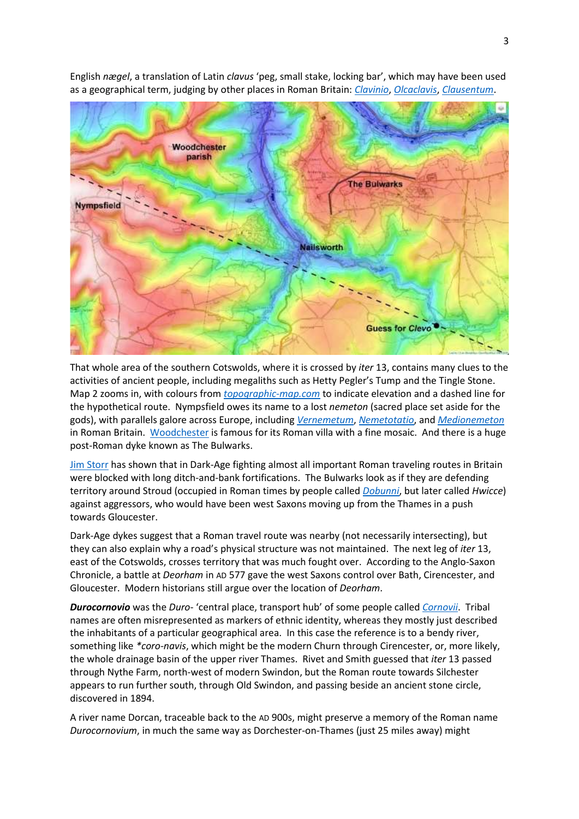

English *nægel*, a translation of Latin *clavus* 'peg, small stake, locking bar', which may have been used as a geographical term, judging by other places in Roman Britain: *[Clavinio](http://www.romaneranames.uk/c/clavinio.htm)*, *[Olcaclavis](http://www.romaneranames.uk/o/olcaclav.htm)*, *[Clausentum](http://www.romaneranames.uk/c/clausent.htm)*.

That whole area of the southern Cotswolds, where it is crossed by *iter* 13, contains many clues to the activities of ancient people, including megaliths such as Hetty Pegler's Tump and the Tingle Stone. Map 2 zooms in, with colours from *[topographic-map.com](https://en-gb.topographic-map.com/)* to indicate elevation and a dashed line for the hypothetical route. Nympsfield owes its name to a lost *nemeton* (sacred place set aside for the gods), with parallels galore across Europe, including *[Vernemetum](http://www.romaneranames.uk/v/vernemet.htm)*, *[Nemetotatio](http://www.romaneranames.uk/n/nemetota.htm)*, and *[Medionemeton](http://www.romaneranames.uk/m/medionem.htm)* in Roman Britain. [Woodchester](https://www.british-history.ac.uk/vch/glos/vol11/pp294-295) is famous for its Roman villa with a fine mosaic. And there is a huge post-Roman dyke known as The Bulwarks.

[Jim Storr](https://www.google.co.uk/books/edition/King_Arthur_s_Wars/4-3yDAAAQBAJ?hl=en&gbpv=1&printsec=frontcover) has shown that in Dark-Age fighting almost all important Roman traveling routes in Britain were blocked with long ditch-and-bank fortifications. The Bulwarks look as if they are defending territory around Stroud (occupied in Roman times by people called *[Dobunni](http://www.romaneranames.uk/d/dobunni.htm)*, but later called *Hwicce*) against aggressors, who would have been west Saxons moving up from the Thames in a push towards Gloucester.

Dark-Age dykes suggest that a Roman travel route was nearby (not necessarily intersecting), but they can also explain why a road's physical structure was not maintained. The next leg of *iter* 13, east of the Cotswolds, crosses territory that was much fought over. According to the Anglo-Saxon Chronicle, a battle at *Deorham* in AD 577 gave the west Saxons control over Bath, Cirencester, and Gloucester. Modern historians still argue over the location of *Deorham*.

*Durocornovio* was the *Duro-* 'central place, transport hub' of some people called *[Cornovii](http://www.romaneranames.uk/c/cornovii.htm)*. Tribal names are often misrepresented as markers of ethnic identity, whereas they mostly just described the inhabitants of a particular geographical area. In this case the reference is to a bendy river, something like *\*coro-navis*, which might be the modern Churn through Cirencester, or, more likely, the whole drainage basin of the upper river Thames. Rivet and Smith guessed that *iter* 13 passed through Nythe Farm, north-west of modern Swindon, but the Roman route towards Silchester appears to run further south, through Old Swindon, and passing beside an ancient stone circle, discovered in 1894.

A river name Dorcan, traceable back to the AD 900s, might preserve a memory of the Roman name *Durocornovium*, in much the same way as Dorchester-on-Thames (just 25 miles away) might